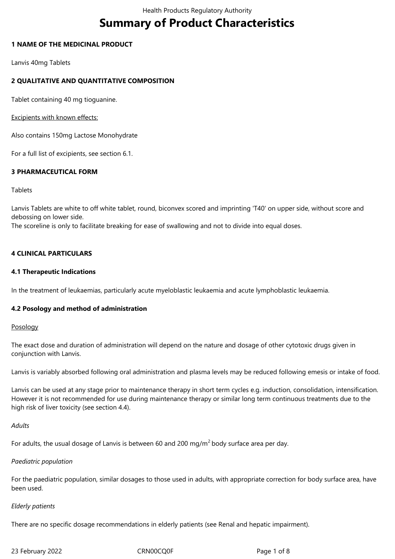# **Summary of Product Characteristics**

# **1 NAME OF THE MEDICINAL PRODUCT**

Lanvis 40mg Tablets

# **2 QUALITATIVE AND QUANTITATIVE COMPOSITION**

Tablet containing 40 mg tioguanine.

Excipients with known effects:

Also contains 150mg Lactose Monohydrate

For a full list of excipients, see section 6.1.

# **3 PHARMACEUTICAL FORM**

#### Tablets

Lanvis Tablets are white to off white tablet, round, biconvex scored and imprinting 'T40' on upper side, without score and debossing on lower side.

The scoreline is only to facilitate breaking for ease of swallowing and not to divide into equal doses.

# **4 CLINICAL PARTICULARS**

# **4.1 Therapeutic Indications**

In the treatment of leukaemias, particularly acute myeloblastic leukaemia and acute lymphoblastic leukaemia.

# **4.2 Posology and method of administration**

# Posology

The exact dose and duration of administration will depend on the nature and dosage of other cytotoxic drugs given in conjunction with Lanvis.

Lanvis is variably absorbed following oral administration and plasma levels may be reduced following emesis or intake of food.

Lanvis can be used at any stage prior to maintenance therapy in short term cycles e.g. induction, consolidation, intensification. However it is not recommended for use during maintenance therapy or similar long term continuous treatments due to the high risk of liver toxicity (see section 4.4).

# *Adults*

For adults, the usual dosage of Lanvis is between 60 and 200 mg/m<sup>2</sup> body surface area per day.

# *Paediatric population*

For the paediatric population, similar dosages to those used in adults, with appropriate correction for body surface area, have been used.

#### *Elderly patients*

There are no specific dosage recommendations in elderly patients (see Renal and hepatic impairment).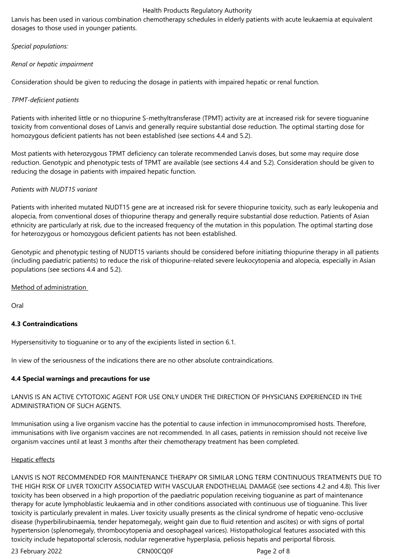Lanvis has been used in various combination chemotherapy schedules in elderly patients with acute leukaemia at equivalent dosages to those used in younger patients.

*Special populations:*

# *Renal or hepatic impairment*

Consideration should be given to reducing the dosage in patients with impaired hepatic or renal function.

# *TPMT-deficient patients*

Patients with inherited little or no thiopurine S-methyltransferase (TPMT) activity are at increased risk for severe tioguanine toxicity from conventional doses of Lanvis and generally require substantial dose reduction. The optimal starting dose for homozygous deficient patients has not been established (see sections 4.4 and 5.2).

Most patients with heterozygous TPMT deficiency can tolerate recommended Lanvis doses, but some may require dose reduction. Genotypic and phenotypic tests of TPMT are available (see sections 4.4 and 5.2). Consideration should be given to reducing the dosage in patients with impaired hepatic function.

# *Patients with NUDT15 variant*

Patients with inherited mutated NUDT15 gene are at increased risk for severe thiopurine toxicity, such as early leukopenia and alopecia, from conventional doses of thiopurine therapy and generally require substantial dose reduction. Patients of Asian ethnicity are particularly at risk, due to the increased frequency of the mutation in this population. The optimal starting dose for heterozygous or homozygous deficient patients has not been established.

Genotypic and phenotypic testing of NUDT15 variants should be considered before initiating thiopurine therapy in all patients (including paediatric patients) to reduce the risk of thiopurine-related severe leukocytopenia and alopecia, especially in Asian populations (see sections 4.4 and 5.2).

Method of administration

Oral

# **4.3 Contraindications**

Hypersensitivity to tioguanine or to any of the excipients listed in section 6.1.

In view of the seriousness of the indications there are no other absolute contraindications.

# **4.4 Special warnings and precautions for use**

# LANVIS IS AN ACTIVE CYTOTOXIC AGENT FOR USE ONLY UNDER THE DIRECTION OF PHYSICIANS EXPERIENCED IN THE ADMINISTRATION OF SUCH AGENTS.

Immunisation using a live organism vaccine has the potential to cause infection in immunocompromised hosts. Therefore, immunisations with live organism vaccines are not recommended. In all cases, patients in remission should not receive live organism vaccines until at least 3 months after their chemotherapy treatment has been completed.

# Hepatic effects

LANVIS IS NOT RECOMMENDED FOR MAINTENANCE THERAPY OR SIMILAR LONG TERM CONTINUOUS TREATMENTS DUE TO THE HIGH RISK OF LIVER TOXICITY ASSOCIATED WITH VASCULAR ENDOTHELIAL DAMAGE (see sections 4.2 and 4.8). This liver toxicity has been observed in a high proportion of the paediatric population receiving tioguanine as part of maintenance therapy for acute lymphoblastic leukaemia and in other conditions associated with continuous use of tioguanine. This liver toxicity is particularly prevalent in males. Liver toxicity usually presents as the clinical syndrome of hepatic veno-occlusive disease (hyperbilirubinaemia, tender hepatomegaly, weight gain due to fluid retention and ascites) or with signs of portal hypertension (splenomegaly, thrombocytopenia and oesophageal varices). Histopathological features associated with this toxicity include hepatoportal sclerosis, nodular regenerative hyperplasia, peliosis hepatis and periportal fibrosis.

23 February 2022 **CRN00CQ0F** Page 2 of 8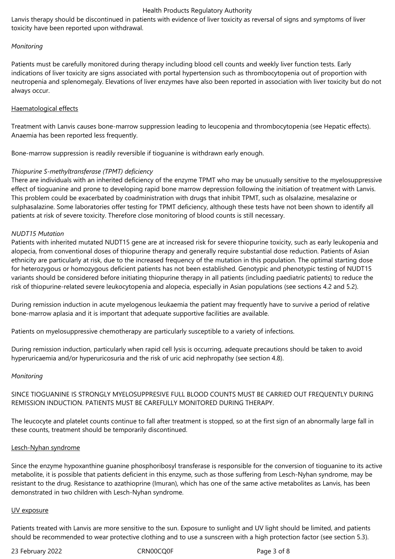Lanvis therapy should be discontinued in patients with evidence of liver toxicity as reversal of signs and symptoms of liver toxicity have been reported upon withdrawal.

## *Monitoring*

Patients must be carefully monitored during therapy including blood cell counts and weekly liver function tests. Early indications of liver toxicity are signs associated with portal hypertension such as thrombocytopenia out of proportion with neutropenia and splenomegaly. Elevations of liver enzymes have also been reported in association with liver toxicity but do not always occur.

## Haematological effects

Treatment with Lanvis causes bone-marrow suppression leading to leucopenia and thrombocytopenia (see Hepatic effects). Anaemia has been reported less frequently.

Bone-marrow suppression is readily reversible if tioguanine is withdrawn early enough.

# *Thiopurine S-methyltransferase (TPMT) deficiency*

There are individuals with an inherited deficiency of the enzyme TPMT who may be unusually sensitive to the myelosuppressive effect of tioguanine and prone to developing rapid bone marrow depression following the initiation of treatment with Lanvis. This problem could be exacerbated by coadministration with drugs that inhibit TPMT, such as olsalazine, mesalazine or sulphasalazine. Some laboratories offer testing for TPMT deficiency, although these tests have not been shown to identify all patients at risk of severe toxicity. Therefore close monitoring of blood counts is still necessary.

#### *NUDT15 Mutation*

Patients with inherited mutated NUDT15 gene are at increased risk for severe thiopurine toxicity, such as early leukopenia and alopecia, from conventional doses of thiopurine therapy and generally require substantial dose reduction. Patients of Asian ethnicity are particularly at risk, due to the increased frequency of the mutation in this population. The optimal starting dose for heterozygous or homozygous deficient patients has not been established. Genotypic and phenotypic testing of NUDT15 variants should be considered before initiating thiopurine therapy in all patients (including paediatric patients) to reduce the risk of thiopurine-related severe leukocytopenia and alopecia, especially in Asian populations (see sections 4.2 and 5.2).

During remission induction in acute myelogenous leukaemia the patient may frequently have to survive a period of relative bone-marrow aplasia and it is important that adequate supportive facilities are available.

Patients on myelosuppressive chemotherapy are particularly susceptible to a variety of infections.

During remission induction, particularly when rapid cell lysis is occurring, adequate precautions should be taken to avoid hyperuricaemia and/or hyperuricosuria and the risk of uric acid nephropathy (see section 4.8).

#### *Monitoring*

SINCE TIOGUANINE IS STRONGLY MYELOSUPPRESIVE FULL BLOOD COUNTS MUST BE CARRIED OUT FREQUENTLY DURING REMISSION INDUCTION. PATIENTS MUST BE CAREFULLY MONITORED DURING THERAPY.

The leucocyte and platelet counts continue to fall after treatment is stopped, so at the first sign of an abnormally large fall in these counts, treatment should be temporarily discontinued.

#### Lesch-Nyhan syndrome

Since the enzyme hypoxanthine guanine phosphoribosyl transferase is responsible for the conversion of tioguanine to its active metabolite, it is possible that patients deficient in this enzyme, such as those suffering from Lesch-Nyhan syndrome, may be resistant to the drug. Resistance to azathioprine (Imuran), which has one of the same active metabolites as Lanvis, has been demonstrated in two children with Lesch-Nyhan syndrome.

#### UV exposure

Patients treated with Lanvis are more sensitive to the sun. Exposure to sunlight and UV light should be limited, and patients should be recommended to wear protective clothing and to use a sunscreen with a high protection factor (see section 5.3).

23 February 2022 **CRN00CQ0F** Page 3 of 8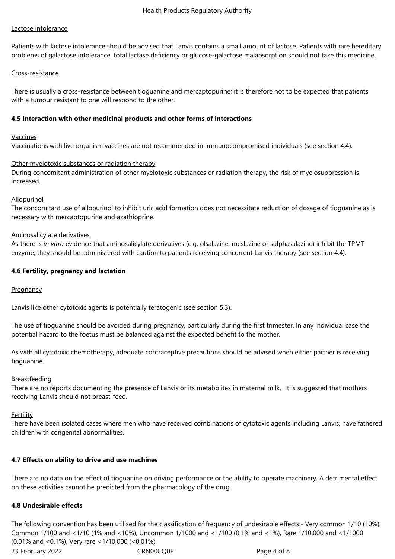# Lactose intolerance

Patients with lactose intolerance should be advised that Lanvis contains a small amount of lactose. Patients with rare hereditary problems of galactose intolerance, total lactase deficiency or glucose-galactose malabsorption should not take this medicine.

# Cross-resistance

There is usually a cross-resistance between tioguanine and mercaptopurine; it is therefore not to be expected that patients with a tumour resistant to one will respond to the other.

## **4.5 Interaction with other medicinal products and other forms of interactions**

#### Vaccines

Vaccinations with live organism vaccines are not recommended in immunocompromised individuals (see section 4.4).

#### Other myelotoxic substances or radiation therapy

During concomitant administration of other myelotoxic substances or radiation therapy, the risk of myelosuppression is increased.

# **Allopurinol**

The concomitant use of allopurinol to inhibit uric acid formation does not necessitate reduction of dosage of tioguanine as is necessary with mercaptopurine and azathioprine.

#### Aminosalicylate derivatives

As there is *in vitro* evidence that aminosalicylate derivatives (e.g. olsalazine, meslazine or sulphasalazine) inhibit the TPMT enzyme, they should be administered with caution to patients receiving concurrent Lanvis therapy (see section 4.4).

# **4.6 Fertility, pregnancy and lactation**

# **Pregnancy**

Lanvis like other cytotoxic agents is potentially teratogenic (see section 5.3).

The use of tioguanine should be avoided during pregnancy, particularly during the first trimester. In any individual case the potential hazard to the foetus must be balanced against the expected benefit to the mother.

As with all cytotoxic chemotherapy, adequate contraceptive precautions should be advised when either partner is receiving tioguanine.

# **Breastfeeding**

There are no reports documenting the presence of Lanvis or its metabolites in maternal milk. It is suggested that mothers receiving Lanvis should not breast-feed.

# Fertility

There have been isolated cases where men who have received combinations of cytotoxic agents including Lanvis, have fathered children with congenital abnormalities.

# **4.7 Effects on ability to drive and use machines**

There are no data on the effect of tioguanine on driving performance or the ability to operate machinery. A detrimental effect on these activities cannot be predicted from the pharmacology of the drug.

# **4.8 Undesirable effects**

23 February 2022 **CRN00CQ0F** Page 4 of 8 The following convention has been utilised for the classification of frequency of undesirable effects:- Very common 1/10 (10%), Common 1/100 and <1/10 (1% and <10%), Uncommon 1/1000 and <1/100 (0.1% and <1%), Rare 1/10,000 and <1/1000 (0.01% and <0.1%), Very rare <1/10,000 (<0.01%).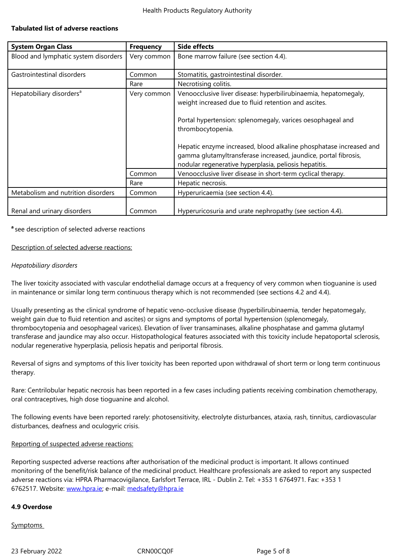| <b>System Organ Class</b>            | <b>Frequency</b> | <b>Side effects</b>                                                                                                                                                                                                                                                                                                                                 |
|--------------------------------------|------------------|-----------------------------------------------------------------------------------------------------------------------------------------------------------------------------------------------------------------------------------------------------------------------------------------------------------------------------------------------------|
| Blood and lymphatic system disorders | Very common      | Bone marrow failure (see section 4.4).                                                                                                                                                                                                                                                                                                              |
| Gastrointestinal disorders           | Common           | Stomatitis, gastrointestinal disorder.                                                                                                                                                                                                                                                                                                              |
|                                      | Rare             | Necrotising colitis.                                                                                                                                                                                                                                                                                                                                |
| Hepatobiliary disorders <sup>a</sup> | Very common      | Venoocclusive liver disease: hyperbilirubinaemia, hepatomegaly,<br>weight increased due to fluid retention and ascites.<br>Portal hypertension: splenomegaly, varices oesophageal and<br>thrombocytopenia.<br>Hepatic enzyme increased, blood alkaline phosphatase increased and<br>gamma glutamyltransferase increased, jaundice, portal fibrosis, |
|                                      |                  | nodular regenerative hyperplasia, peliosis hepatitis.                                                                                                                                                                                                                                                                                               |
|                                      | Common           | Venoocclusive liver disease in short-term cyclical therapy.                                                                                                                                                                                                                                                                                         |
|                                      | Rare             | Hepatic necrosis.                                                                                                                                                                                                                                                                                                                                   |
| Metabolism and nutrition disorders   | Common           | Hyperuricaemia (see section 4.4).                                                                                                                                                                                                                                                                                                                   |
| Renal and urinary disorders          | Common           | Hyperuricosuria and urate nephropathy (see section 4.4).                                                                                                                                                                                                                                                                                            |

#### **<sup>a</sup>**see description of selected adverse reactions

#### Description of selected adverse reactions:

#### *Hepatobiliary disorders*

The liver toxicity associated with vascular endothelial damage occurs at a frequency of very common when tioguanine is used in maintenance or similar long term continuous therapy which is not recommended (see sections 4.2 and 4.4).

Usually presenting as the clinical syndrome of hepatic veno-occlusive disease (hyperbilirubinaemia, tender hepatomegaly, weight gain due to fluid retention and ascites) or signs and symptoms of portal hypertension (splenomegaly, thrombocytopenia and oesophageal varices). Elevation of liver transaminases, alkaline phosphatase and gamma glutamyl transferase and jaundice may also occur. Histopathological features associated with this toxicity include hepatoportal sclerosis, nodular regenerative hyperplasia, peliosis hepatis and periportal fibrosis.

Reversal of signs and symptoms of this liver toxicity has been reported upon withdrawal of short term or long term continuous therapy.

Rare: Centrilobular hepatic necrosis has been reported in a few cases including patients receiving combination chemotherapy, oral contraceptives, high dose tioguanine and alcohol.

The following events have been reported rarely: photosensitivity, electrolyte disturbances, ataxia, rash, tinnitus, cardiovascular disturbances, deafness and oculogyric crisis.

#### Reporting of suspected adverse reactions:

Reporting suspected adverse reactions after authorisation of the medicinal product is important. It allows continued monitoring of the benefit/risk balance of the medicinal product. Healthcare professionals are asked to report any suspected adverse reactions via: HPRA Pharmacovigilance, Earlsfort Terrace, IRL - Dublin 2. Tel: +353 1 6764971. Fax: +353 1 6762517. Website: www.hpra.ie; e-mail: medsafety@hpra.ie

#### **4.9 Overdose**

**Symptoms**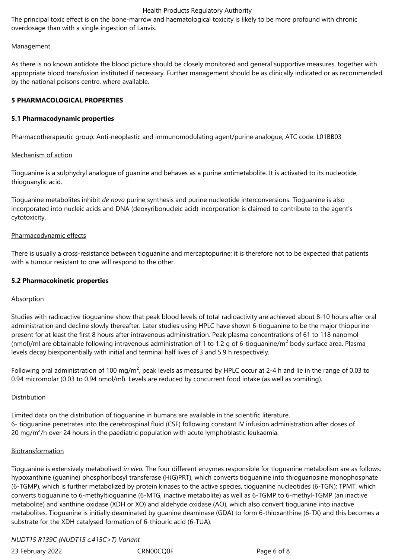The principal toxic effect is on the bone-marrow and haematological toxicity is likely to be more profound with chronic overdosage than with a single ingestion of Lanvis.

#### Management

As there is no known antidote the blood picture should be closely monitored and general supportive measures, together with appropriate blood transfusion instituted if necessary. Further management should be as clinically indicated or as recommended by the national poisons centre, where available.

# **5 PHARMACOLOGICAL PROPERTIES**

# **5.1 Pharmacodynamic properties**

Pharmacotherapeutic group: Anti-neoplastic and immunomodulating agent/purine analogue, ATC code: L01BB03

# Mechanism of action

Tioguanine is a sulphydryl analogue of guanine and behaves as a purine antimetabolite. It is activated to its nucleotide, thioguanylic acid.

Tioguanine metabolites inhibit *de novo* purine synthesis and purine nucleotide interconversions. Tioguanine is also incorporated into nucleic acids and DNA (deoxyribonucleic acid) incorporation is claimed to contribute to the agent's cytotoxicity.

# Pharmacodynamic effects

There is usually a cross-resistance between tioguanine and mercaptopurine; it is therefore not to be expected that patients with a tumour resistant to one will respond to the other.

# **5.2 Pharmacokinetic properties**

# Absorption

Studies with radioactive tioguanine show that peak blood levels of total radioactivity are achieved about 8-10 hours after oral administration and decline slowly thereafter. Later studies using HPLC have shown 6-tioguanine to be the major thiopurine present for at least the first 8 hours after intravenous administration. Peak plasma concentrations of 61 to 118 nanomol (nmol)/ml are obtainable following intravenous administration of 1 to 1.2 g of 6-tioguanine/m<sup>2</sup> body surface area. Plasma levels decay biexponentially with initial and terminal half lives of 3 and 5.9 h respectively.

Following oral administration of 100 mg/m<sup>2</sup>, peak levels as measured by HPLC occur at 2-4 h and lie in the range of 0.03 to 0.94 micromolar (0.03 to 0.94 nmol/ml). Levels are reduced by concurrent food intake (as well as vomiting).

# Distribution

Limited data on the distribution of tioguanine in humans are available in the scientific literature. 6- tioguanine penetrates into the cerebrospinal fluid (CSF) following constant IV infusion administration after doses of 20 mg/m<sup>2</sup>/h over 24 hours in the paediatric population with acute lymphoblastic leukaemia.

# Biotransformation

Tioguanine is extensively metabolised *in vivo.* The four different enzymes responsible for tioguanine metabolism are as follows: hypoxanthine (guanine) phosphoribosyl transferase (H(G)PRT), which converts tioguanine into thioguanosine monophosphate (6-TGMP), which is further metabolized by protein kinases to the active species, tioguanine nucleotides (6-TGN); TPMT, which converts tioguanine to 6-methyltioguanine (6-MTG, inactive metabolite) as well as 6-TGMP to 6-methyl-TGMP (an inactive metabolite) and xanthine oxidase (XDH or XO) and aldehyde oxidase (AO), which also convert tioguanine into inactive metabolites. Tioguanine is initially deaminated by guanine deaminase (GDA) to form 6-thioxanthine (6-TX) and this becomes a substrate for the XDH catalysed formation of 6-thiouric acid (6-TUA).

# *NUDT15 R139C (NUDT15 c.415C>T) Variant*

23 February 2022 **CRN00CQ0F** Page 6 of 8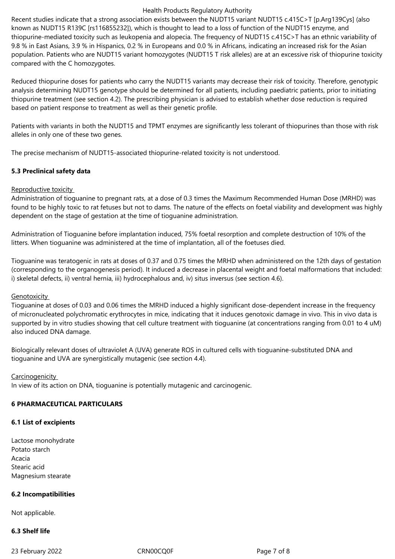Recent studies indicate that a strong association exists between the NUDT15 variant NUDT15 c.415C>T [p.Arg139Cys] (also known as NUDT15 R139C [rs116855232]), which is thought to lead to a loss of function of the NUDT15 enzyme, and thiopurine-mediated toxicity such as leukopenia and alopecia. The frequency of NUDT15 c.415C>T has an ethnic variability of 9.8 % in East Asians, 3.9 % in Hispanics, 0.2 % in Europeans and 0.0 % in Africans, indicating an increased risk for the Asian population. Patients who are NUDT15 variant homozygotes (NUDT15 T risk alleles) are at an excessive risk of thiopurine toxicity compared with the C homozygotes.

Reduced thiopurine doses for patients who carry the NUDT15 variants may decrease their risk of toxicity. Therefore, genotypic analysis determining NUDT15 genotype should be determined for all patients, including paediatric patients, prior to initiating thiopurine treatment (see section 4.2). The prescribing physician is advised to establish whether dose reduction is required based on patient response to treatment as well as their genetic profile.

Patients with variants in both the NUDT15 and TPMT enzymes are significantly less tolerant of thiopurines than those with risk alleles in only one of these two genes.

The precise mechanism of NUDT15-associated thiopurine-related toxicity is not understood.

# **5.3 Preclinical safety data**

# Reproductive toxicity

Administration of tioguanine to pregnant rats, at a dose of 0.3 times the Maximum Recommended Human Dose (MRHD) was found to be highly toxic to rat fetuses but not to dams. The nature of the effects on foetal viability and development was highly dependent on the stage of gestation at the time of tioguanine administration.

Administration of Tioguanine before implantation induced, 75% foetal resorption and complete destruction of 10% of the litters. When tioguanine was administered at the time of implantation, all of the foetuses died.

Tioguanine was teratogenic in rats at doses of 0.37 and 0.75 times the MRHD when administered on the 12th days of gestation (corresponding to the organogenesis period). It induced a decrease in placental weight and foetal malformations that included: i) skeletal defects, ii) ventral hernia, iii) hydrocephalous and, iv) situs inversus (see section 4.6).

# **Genotoxicity**

Tioguanine at doses of 0.03 and 0.06 times the MRHD induced a highly significant dose-dependent increase in the frequency of micronucleated polychromatic erythrocytes in mice, indicating that it induces genotoxic damage in vivo. This in vivo data is supported by in vitro studies showing that cell culture treatment with tioguanine (at concentrations ranging from 0.01 to 4 uM) also induced DNA damage.

Biologically relevant doses of ultraviolet A (UVA) generate ROS in cultured cells with tioguanine-substituted DNA and tioguanine and UVA are synergistically mutagenic (see section 4.4).

# **Carcinogenicity**

In view of its action on DNA, tioguanine is potentially mutagenic and carcinogenic.

# **6 PHARMACEUTICAL PARTICULARS**

# **6.1 List of excipients**

Lactose monohydrate Potato starch Acacia Stearic acid Magnesium stearate

# **6.2 Incompatibilities**

Not applicable.

# **6.3 Shelf life**

23 February 2022 CRN00CQ0F CRNOOCQ0F Page 7 of 8